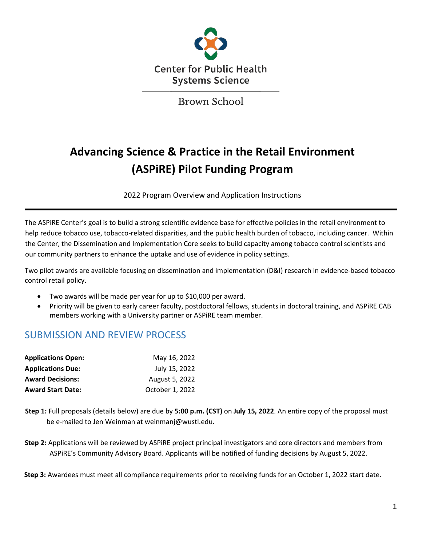

Brown School

# **Advancing Science & Practice in the Retail Environment (ASPiRE) Pilot Funding Program**

2022 Program Overview and Application Instructions

The ASPiRE Center's goal is to build a strong scientific evidence base for effective policies in the retail environment to help reduce tobacco use, tobacco-related disparities, and the public health burden of tobacco, including cancer. Within the Center, the Dissemination and Implementation Core seeks to build capacity among tobacco control scientists and our community partners to enhance the uptake and use of evidence in policy settings.

Two pilot awards are available focusing on dissemination and implementation (D&I) research in evidence-based tobacco control retail policy.

- Two awards will be made per year for up to \$10,000 per award.
- Priority will be given to early career faculty, postdoctoral fellows, students in doctoral training, and ASPiRE CAB members working with a University partner or ASPiRE team member.

## SUBMISSION AND REVIEW PROCESS

| <b>Applications Open:</b> | May 16, 2022    |
|---------------------------|-----------------|
| <b>Applications Due:</b>  | July 15, 2022   |
| <b>Award Decisions:</b>   | August 5, 2022  |
| <b>Award Start Date:</b>  | October 1, 2022 |

- **Step 1:** Full proposals (details below) are due by **5:00 p.m. (CST)** on **July 15, 2022**. An entire copy of the proposal must be e-mailed to Jen Weinman at weinmanj@wustl.edu.
- **Step 2:** Applications will be reviewed by ASPiRE project principal investigators and core directors and members from ASPiRE's Community Advisory Board. Applicants will be notified of funding decisions by August 5, 2022.

**Step 3:** Awardees must meet all compliance requirements prior to receiving funds for an October 1, 2022 start date.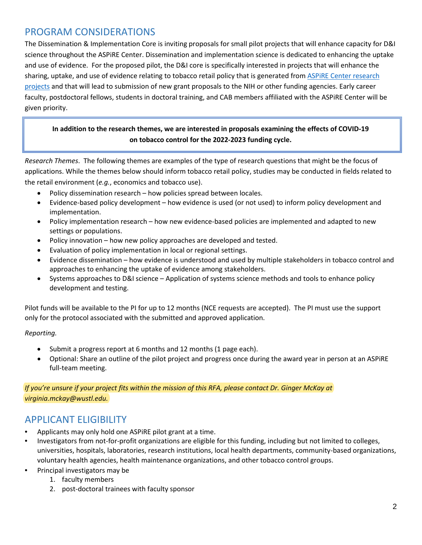# PROGRAM CONSIDERATIONS

The Dissemination & Implementation Core is inviting proposals for small pilot projects that will enhance capacity for D&I science throughout the ASPiRE Center. Dissemination and implementation science is dedicated to enhancing the uptake and use of evidence. For the proposed pilot, the D&I core is specifically interested in projects that will enhance the sharing, uptake, and use of evidence relating to tobacco retail policy that is generated from **ASPIRE** Center research [projects](https://cphss.wustl.edu/items/aspire/) and that will lead to submission of new grant proposals to the NIH or other funding agencies. Early career faculty, postdoctoral fellows, students in doctoral training, and CAB members affiliated with the ASPiRE Center will be given priority.

### **In addition to the research themes, we are interested in proposals examining the effects of COVID-19 on tobacco control for the 2022-2023 funding cycle.**

*Research Themes*. The following themes are examples of the type of research questions that might be the focus of applications. While the themes below should inform tobacco retail policy, studies may be conducted in fields related to the retail environment (*e.g.*, economics and tobacco use).

- Policy dissemination research how policies spread between locales.
- Evidence-based policy development how evidence is used (or not used) to inform policy development and implementation.
- Policy implementation research how new evidence-based policies are implemented and adapted to new settings or populations.
- Policy innovation how new policy approaches are developed and tested.
- Evaluation of policy implementation in local or regional settings.
- Evidence dissemination how evidence is understood and used by multiple stakeholders in tobacco control and approaches to enhancing the uptake of evidence among stakeholders.
- Systems approaches to D&I science Application of systems science methods and tools to enhance policy development and testing.

Pilot funds will be available to the PI for up to 12 months (NCE requests are accepted). The PI must use the support only for the protocol associated with the submitted and approved application.

### *Reporting.*

- Submit a progress report at 6 months and 12 months (1 page each).
- Optional: Share an outline of the pilot project and progress once during the award year in person at an ASPiRE full-team meeting.

*If you're unsure if your project fits within the mission of this RFA, please contact Dr. Ginger McKay at virginia.mckay@wustl.edu.* 

### APPLICANT ELIGIBILITY

- Applicants may only hold one ASPiRE pilot grant at a time.
- Investigators from not-for-profit organizations are eligible for this funding, including but not limited to colleges, universities, hospitals, laboratories, research institutions, local health departments, community-based organizations, voluntary health agencies, health maintenance organizations, and other tobacco control groups.
- Principal investigators may be
	- 1. faculty members
	- 2. post-doctoral trainees with faculty sponsor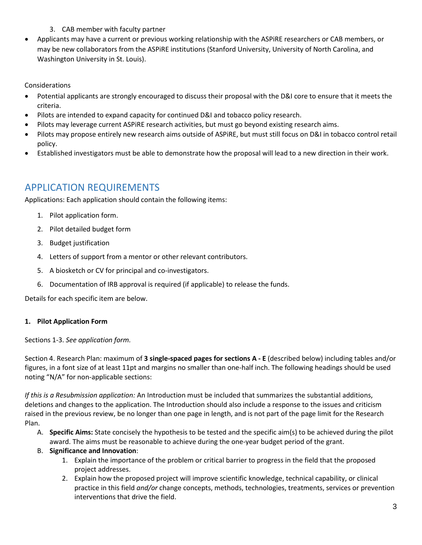- 3. CAB member with faculty partner
- Applicants may have a current or previous working relationship with the ASPiRE researchers or CAB members, or may be new collaborators from the ASPiRE institutions (Stanford University, University of North Carolina, and Washington University in St. Louis).

Considerations

- Potential applicants are strongly encouraged to discuss their proposal with the D&I core to ensure that it meets the criteria.
- Pilots are intended to expand capacity for continued D&I and tobacco policy research.
- Pilots may leverage current ASPIRE research activities, but must go beyond existing research aims.
- Pilots may propose entirely new research aims outside of ASPiRE, but must still focus on D&I in tobacco control retail policy.
- Established investigators must be able to demonstrate how the proposal will lead to a new direction in their work.

# APPLICATION REQUIREMENTS

Applications: Each application should contain the following items:

- 1. Pilot application form.
- 2. Pilot detailed budget form
- 3. Budget justification
- 4. Letters of support from a mentor or other relevant contributors.
- 5. A biosketch or CV for principal and co-investigators.
- 6. Documentation of IRB approval is required (if applicable) to release the funds.

Details for each specific item are below.

### **1. Pilot Application Form**

Sections 1-3. *See application form.*

Section 4. Research Plan: maximum of **3 single-spaced pages for sections A - E** (described below) including tables and/or figures, in a font size of at least 11pt and margins no smaller than one-half inch. The following headings should be used noting "N/A" for non-applicable sections:

*If this is a Resubmission application:* An Introduction must be included that summarizes the substantial additions, deletions and changes to the application. The Introduction should also include a response to the issues and criticism raised in the previous review, be no longer than one page in length, and is not part of the page limit for the Research Plan.

- A. **Specific Aims:** State concisely the hypothesis to be tested and the specific aim(s) to be achieved during the pilot award. The aims must be reasonable to achieve during the one-year budget period of the grant.
- B. **Significance and Innovation**:
	- 1. Explain the importance of the problem or critical barrier to progress in the field that the proposed project addresses.
	- 2. Explain how the proposed project will improve scientific knowledge, technical capability, or clinical practice in this field *and/or* change concepts, methods, technologies, treatments, services or prevention interventions that drive the field.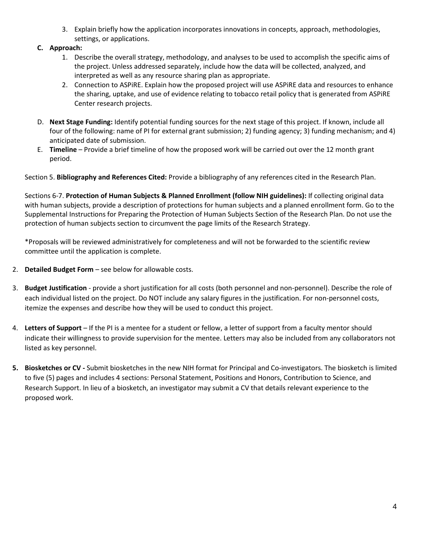- 3. Explain briefly how the application incorporates innovations in concepts, approach, methodologies, settings, or applications.
- **C. Approach:**
	- 1. Describe the overall strategy, methodology, and analyses to be used to accomplish the specific aims of the project. Unless addressed separately, include how the data will be collected, analyzed, and interpreted as well as any resource sharing plan as appropriate.
	- 2. Connection to ASPiRE. Explain how the proposed project will use ASPiRE data and resources to enhance the sharing, uptake, and use of evidence relating to tobacco retail policy that is generated from ASPiRE Center research projects.
- D. **Next Stage Funding:** Identify potential funding sources for the next stage of this project. If known, include all four of the following: name of PI for external grant submission; 2) funding agency; 3) funding mechanism; and 4) anticipated date of submission.
- E. **Timeline** Provide a brief timeline of how the proposed work will be carried out over the 12 month grant period.

Section 5. **Bibliography and References Cited:** Provide a bibliography of any references cited in the Research Plan.

Sections 6-7. **Protection of Human Subjects & Planned Enrollment (follow NIH guidelines):** If collecting original data with human subjects, provide a description of protections for human subjects and a planned enrollment form. Go to the Supplemental Instructions for Preparing the Protection of Human Subjects Section of the Research Plan. Do not use the protection of human subjects section to circumvent the page limits of the Research Strategy.

\*Proposals will be reviewed administratively for completeness and will not be forwarded to the scientific review committee until the application is complete.

- 2. **Detailed Budget Form** see below for allowable costs.
- 3. **Budget Justification** provide a short justification for all costs (both personnel and non-personnel). Describe the role of each individual listed on the project. Do NOT include any salary figures in the justification. For non-personnel costs, itemize the expenses and describe how they will be used to conduct this project.
- 4. **Letters of Support**  If the PI is a mentee for a student or fellow, a letter of support from a faculty mentor should indicate their willingness to provide supervision for the mentee. Letters may also be included from any collaborators not listed as key personnel.
- **5. Biosketches or CV** Submit biosketches in the new NIH format for Principal and Co-investigators. The biosketch is limited to five (5) pages and includes 4 sections: Personal Statement, Positions and Honors, Contribution to Science, and Research Support. In lieu of a biosketch, an investigator may submit a CV that details relevant experience to the proposed work.